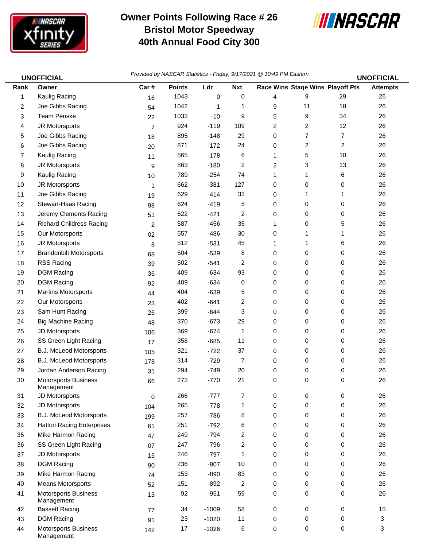

## **Owner Points Following Race # 26 Bristol Motor Speedway 40th Annual Food City 300**



|      | <b>UNOFFICIAL</b>                         | Provided by NASCAR Statistics - Friday, 9/17/2021 @ 10:49 PM Eastern |               |             |            |   |                                  |    | <b>UNOFFICIAL</b> |
|------|-------------------------------------------|----------------------------------------------------------------------|---------------|-------------|------------|---|----------------------------------|----|-------------------|
| Rank | Owner                                     | Car#                                                                 | <b>Points</b> | Ldr         | <b>Nxt</b> |   | Race Wins Stage Wins Playoff Pts |    | <b>Attempts</b>   |
| 1    | Kaulig Racing                             | 16                                                                   | 1043          | $\mathbf 0$ | 0          | 4 | 9                                | 29 | 26                |
| 2    | Joe Gibbs Racing                          | 54                                                                   | 1042          | $-1$        | 1          | 9 | 11                               | 18 | 26                |
| 3    | <b>Team Penske</b>                        | 22                                                                   | 1033          | $-10$       | 9          | 5 | 9                                | 34 | 26                |
| 4    | JR Motorsports                            | $\overline{7}$                                                       | 924           | $-119$      | 109        | 2 | 2                                | 12 | 26                |
| 5    | Joe Gibbs Racing                          | 18                                                                   | 895           | $-148$      | 29         | 0 | 7                                | 7  | 26                |
| 6    | Joe Gibbs Racing                          | 20                                                                   | 871           | $-172$      | 24         | 0 | 2                                | 2  | 26                |
| 7    | Kaulig Racing                             | 11                                                                   | 865           | $-178$      | 6          | 1 | 5                                | 10 | 26                |
| 8    | JR Motorsports                            | 9                                                                    | 863           | $-180$      | 2          | 2 | 3                                | 13 | 26                |
| 9    | Kaulig Racing                             | 10                                                                   | 789           | $-254$      | 74         | 1 | 1                                | 6  | 26                |
| 10   | JR Motorsports                            | $\mathbf{1}$                                                         | 662           | $-381$      | 127        | 0 | 0                                | 0  | 26                |
| 11   | Joe Gibbs Racing                          | 19                                                                   | 629           | $-414$      | 33         | 0 | 1                                | 1  | 26                |
| 12   | <b>Stewart-Haas Racing</b>                | 98                                                                   | 624           | $-419$      | 5          | 0 | 0                                | 0  | 26                |
| 13   | Jeremy Clements Racing                    | 51                                                                   | 622           | $-421$      | 2          | 0 | 0                                | 0  | 26                |
| 14   | <b>Richard Childress Racing</b>           | $\overline{c}$                                                       | 587           | $-456$      | 35         | 1 | 0                                | 5  | 26                |
| 15   | Our Motorsports                           | 02                                                                   | 557           | $-486$      | 30         | 0 | 1                                | 1  | 26                |
| 16   | JR Motorsports                            | 8                                                                    | 512           | $-531$      | 45         | 1 | 1                                | 6  | 26                |
| 17   | <b>Brandonbilt Motorsports</b>            | 68                                                                   | 504           | $-539$      | 8          | 0 | 0                                | 0  | 26                |
| 18   | <b>RSS Racing</b>                         | 39                                                                   | 502           | $-541$      | 2          | 0 | 0                                | 0  | 26                |
| 19   | <b>DGM Racing</b>                         | 36                                                                   | 409           | $-634$      | 93         | 0 | 0                                | 0  | 26                |
| 20   | <b>DGM Racing</b>                         | 92                                                                   | 409           | $-634$      | 0          | 0 | 0                                | 0  | 26                |
| 21   | <b>Martins Motorsports</b>                | 44                                                                   | 404           | $-639$      | 5          | 0 | 0                                | 0  | 26                |
| 22   | Our Motorsports                           | 23                                                                   | 402           | $-641$      | 2          | 0 | 0                                | 0  | 26                |
| 23   | Sam Hunt Racing                           | 26                                                                   | 399           | $-644$      | 3          | 0 | 0                                | 0  | 26                |
| 24   | <b>Big Machine Racing</b>                 | 48                                                                   | 370           | $-673$      | 29         | 0 | 0                                | 0  | 26                |
| 25   | JD Motorsports                            | 106                                                                  | 369           | $-674$      | 1          | 0 | 0                                | 0  | 26                |
| 26   | SS Green Light Racing                     | 17                                                                   | 358           | $-685$      | 11         | 0 | 0                                | 0  | 26                |
| 27   | B.J. McLeod Motorsports                   | 105                                                                  | 321           | $-722$      | 37         | 0 | 0                                | 0  | 26                |
| 28   | <b>B.J. McLeod Motorsports</b>            | 178                                                                  | 314           | $-729$      | 7          | 0 | 0                                | 0  | 26                |
| 29   | Jordan Anderson Racing                    | 31                                                                   | 294           | $-749$      | 20         | 0 | 0                                | 0  | 26                |
| 30   | Motorsports Business<br>Management        | 66                                                                   | 273           | $-770$      | 21         | 0 | 0                                | 0  | 26                |
| 31   | JD Motorsports                            | 0                                                                    | 266           | $-777$      | 7          | 0 | 0                                | 0  | 26                |
| 32   | JD Motorsports                            | 104                                                                  | 265           | $-778$      | 1          | 0 | 0                                | 0  | 26                |
| 33   | B.J. McLeod Motorsports                   | 199                                                                  | 257           | $-786$      | 8          | 0 | 0                                | 0  | 26                |
| 34   | <b>Hattori Racing Enterprises</b>         | 61                                                                   | 251           | $-792$      | 6          | 0 | 0                                | 0  | 26                |
| 35   | Mike Harmon Racing                        | 47                                                                   | 249           | $-794$      | 2          | 0 | 0                                | 0  | 26                |
| 36   | SS Green Light Racing                     | 07                                                                   | 247           | $-796$      | 2          | 0 | 0                                | 0  | 26                |
| 37   | JD Motorsports                            | 15                                                                   | 246           | $-797$      | 1          | 0 | 0                                | 0  | 26                |
| 38   | <b>DGM Racing</b>                         | 90                                                                   | 236           | $-807$      | 10         | 0 | 0                                | 0  | 26                |
| 39   | Mike Harmon Racing                        | 74                                                                   | 153           | $-890$      | 83         | 0 | 0                                | 0  | 26                |
| 40   | <b>Means Motorsports</b>                  | 52                                                                   | 151           | $-892$      | 2          | 0 | 0                                | 0  | 26                |
| 41   | <b>Motorsports Business</b><br>Management | 13                                                                   | 92            | $-951$      | 59         | 0 | 0                                | 0  | 26                |
| 42   | <b>Bassett Racing</b>                     | 77                                                                   | 34            | $-1009$     | 58         | 0 | 0                                | 0  | 15                |
| 43   | <b>DGM Racing</b>                         | 91                                                                   | 23            | $-1020$     | 11         | 0 | 0                                | 0  | 3                 |
| 44   | <b>Motorsports Business</b><br>Management | 142                                                                  | 17            | $-1026$     | 6          | 0 | 0                                | 0  | 3                 |